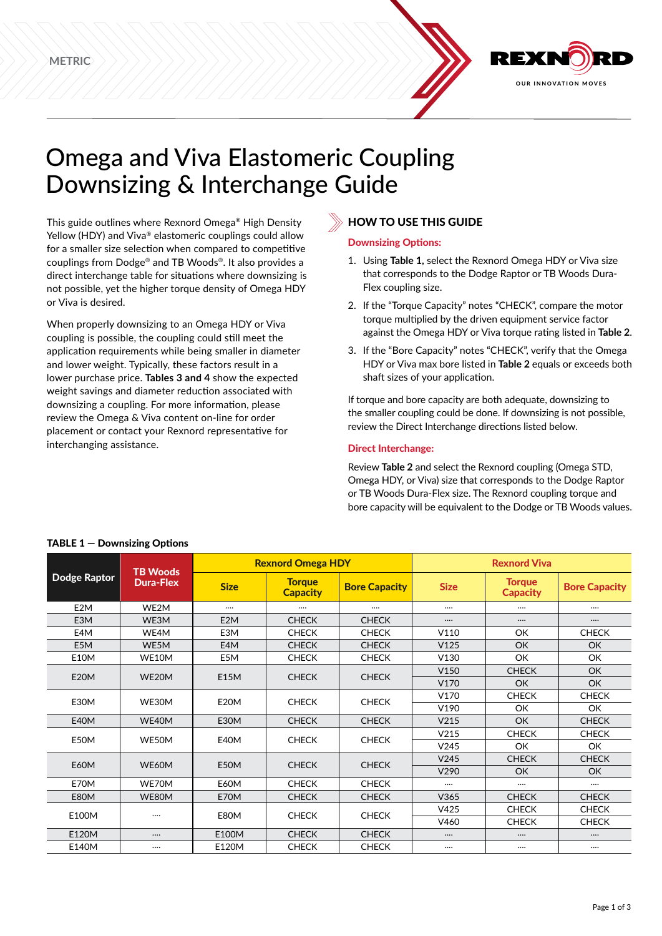

# Omega and Viva Elastomeric Coupling Downsizing & Interchange Guide

This guide outlines where Rexnord Omega® High Density Yellow (HDY) and Viva® elastomeric couplings could allow for a smaller size selection when compared to competitive couplings from Dodge® and TB Woods®. It also provides a direct interchange table for situations where downsizing is not possible, yet the higher torque density of Omega HDY or Viva is desired.

When properly downsizing to an Omega HDY or Viva coupling is possible, the coupling could still meet the application requirements while being smaller in diameter and lower weight. Typically, these factors result in a lower purchase price. **Tables 3 and 4** show the expected weight savings and diameter reduction associated with downsizing a coupling. For more information, please review the Omega & Viva content on-line for order placement or contact your Rexnord representative for interchanging assistance.

# **HOW TO USE THIS GUIDE**

### Downsizing Options:

- 1. Using **Table 1,** select the Rexnord Omega HDY or Viva size that corresponds to the Dodge Raptor or TB Woods Dura-Flex coupling size.
- 2. If the "Torque Capacity" notes "CHECK", compare the motor torque multiplied by the driven equipment service factor against the Omega HDY or Viva torque rating listed in **Table 2**.
- 3. If the "Bore Capacity" notes "CHECK", verify that the Omega HDY or Viva max bore listed in **Table 2** equals or exceeds both shaft sizes of your application.

If torque and bore capacity are both adequate, downsizing to the smaller coupling could be done. If downsizing is not possible, review the Direct Interchange directions listed below.

### Direct Interchange:

Review **Table 2** and select the Rexnord coupling (Omega STD, Omega HDY, or Viva) size that corresponds to the Dodge Raptor or TB Woods Dura-Flex size. The Rexnord coupling torque and bore capacity will be equivalent to the Dodge or TB Woods values.

| <b>Dodge Raptor</b> | <b>TB Woods</b>  |                                                 | <b>Rexnord Omega HDY</b> |                      | <b>Rexnord Viva</b> |                                                                                                                                                          |                      |  |  |
|---------------------|------------------|-------------------------------------------------|--------------------------|----------------------|---------------------|----------------------------------------------------------------------------------------------------------------------------------------------------------|----------------------|--|--|
|                     | <b>Dura-Flex</b> | <b>Torque</b><br><b>Size</b><br><b>Capacity</b> |                          | <b>Bore Capacity</b> | <b>Size</b>         |                                                                                                                                                          | <b>Bore Capacity</b> |  |  |
| E <sub>2</sub> M    | WE2M             |                                                 |                          |                      | $\cdots$            |                                                                                                                                                          |                      |  |  |
| E3M                 | WE3M             | E <sub>2</sub> M                                | <b>CHECK</b>             | <b>CHECK</b>         | $\cdots$            |                                                                                                                                                          |                      |  |  |
| E4M                 | WE4M             | E3M                                             | <b>CHECK</b>             | <b>CHECK</b>         | V110                | OK                                                                                                                                                       | <b>CHECK</b>         |  |  |
| E5M                 | WE5M             | E4M                                             | <b>CHECK</b>             | <b>CHECK</b>         | V125                | OK                                                                                                                                                       | <b>OK</b>            |  |  |
| <b>E10M</b>         | WE10M            | E5M                                             | <b>CHECK</b>             | <b>CHECK</b>         | V130                | OK                                                                                                                                                       | OK                   |  |  |
| <b>E20M</b>         | WE20M            | E15M                                            | <b>CHECK</b>             | <b>CHECK</b>         | V150                | <b>CHECK</b>                                                                                                                                             | OK                   |  |  |
|                     |                  |                                                 |                          |                      | V170                | OK                                                                                                                                                       | <b>OK</b>            |  |  |
| E30M                | WE30M            | E20M                                            | <b>CHECK</b>             | <b>CHECK</b>         | V170                | <b>CHECK</b>                                                                                                                                             | <b>CHECK</b>         |  |  |
|                     |                  |                                                 |                          |                      | V190                | OK                                                                                                                                                       | OK                   |  |  |
| <b>E40M</b>         | WE40M            | <b>E30M</b>                                     | <b>CHECK</b>             | <b>CHECK</b>         | V215                | OK                                                                                                                                                       | <b>CHECK</b>         |  |  |
| E50M                | WE50M            | <b>E40M</b>                                     | <b>CHECK</b>             | <b>CHECK</b>         | V <sub>215</sub>    | <b>CHECK</b>                                                                                                                                             | <b>CHECK</b>         |  |  |
|                     |                  |                                                 |                          |                      | V <sub>245</sub>    | OK                                                                                                                                                       | OK                   |  |  |
| E60M                | WE60M            | E50M                                            | <b>CHECK</b>             | <b>CHECK</b>         | V245                | <b>CHECK</b>                                                                                                                                             | <b>CHECK</b>         |  |  |
|                     |                  |                                                 |                          |                      | V290                | <b>Torque</b><br><b>Capacity</b><br>OK<br>OK<br><br><br><br><b>CHECK</b><br><b>CHECK</b><br><b>CHECK</b><br>$\cdots$<br><br>$\cdots$<br><br>$\cdots$<br> |                      |  |  |
| E70M                | WE70M            | <b>E60M</b>                                     | <b>CHECK</b>             | <b>CHECK</b>         |                     |                                                                                                                                                          |                      |  |  |
| E80M                | WE80M            | E70M                                            | <b>CHECK</b>             | <b>CHECK</b>         | V365                |                                                                                                                                                          | <b>CHECK</b>         |  |  |
| E100M               |                  | E80M                                            | <b>CHECK</b>             | <b>CHECK</b>         | V425                |                                                                                                                                                          | <b>CHECK</b>         |  |  |
|                     |                  |                                                 |                          |                      | V460                |                                                                                                                                                          | <b>CHECK</b>         |  |  |
| E120M               |                  | E100M                                           | <b>CHECK</b>             | <b>CHECK</b>         |                     |                                                                                                                                                          |                      |  |  |
| E140M               |                  | E120M                                           | <b>CHECK</b>             | <b>CHECK</b>         |                     |                                                                                                                                                          |                      |  |  |

## TABLE 1 — Downsizing Options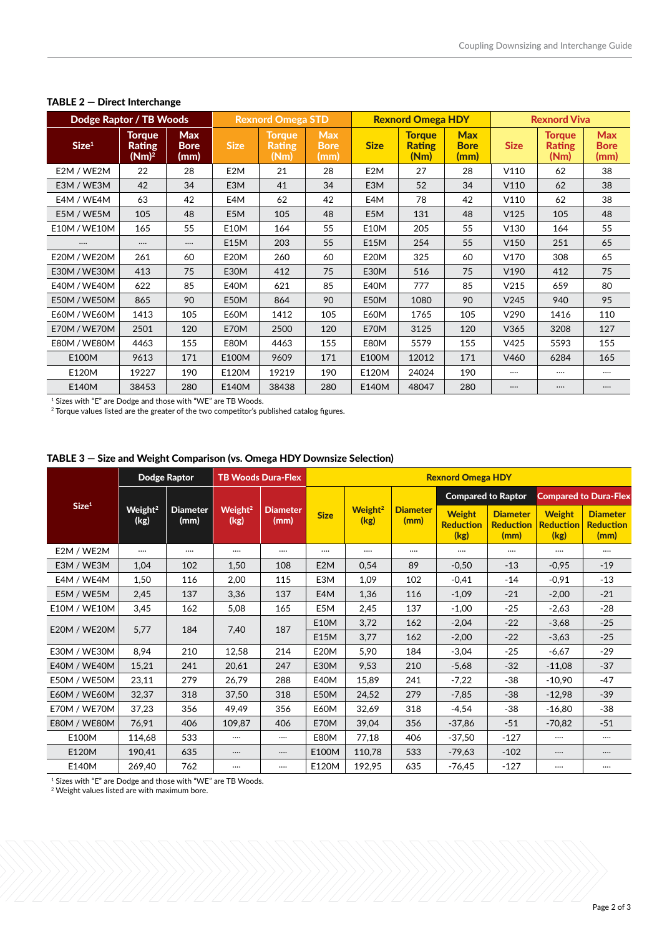| Dodge Raptor / TB Woods |                                     |                                   |                  | <b>Rexnord Omega STD</b>               |                                   |                  | <b>Rexnord Omega HDY</b>               |                                   |                  | <b>Rexnord Viva</b>                    |                                   |  |
|-------------------------|-------------------------------------|-----------------------------------|------------------|----------------------------------------|-----------------------------------|------------------|----------------------------------------|-----------------------------------|------------------|----------------------------------------|-----------------------------------|--|
| Size <sup>1</sup>       | Torque<br><b>Rating</b><br>$(Nm)^2$ | <b>Max</b><br><b>Bore</b><br>(mm) | <b>Size</b>      | <b>Torque</b><br><b>Rating</b><br>(Nm) | <b>Max</b><br><b>Bore</b><br>(mm) | <b>Size</b>      | <b>Torque</b><br><b>Rating</b><br>(Nm) | <b>Max</b><br><b>Bore</b><br>(mm) | <b>Size</b>      | <b>Torque</b><br><b>Rating</b><br>(Nm) | <b>Max</b><br><b>Bore</b><br>(mm) |  |
| E2M / WE2M              | 22                                  | 28                                | E <sub>2</sub> M | 21                                     | 28                                | E <sub>2</sub> M | 27                                     | 28                                | V110             | 62                                     | 38                                |  |
| E3M / WE3M              | 42                                  | 34                                | E <sub>3</sub> M | 41                                     | 34                                | E3M              | 52                                     | 34                                | V110             | 62                                     | 38                                |  |
| E4M / WE4M              | 63                                  | 42                                | E4M              | 62                                     | 42                                | E4M              | 78                                     | 42                                | V110             | 62                                     | 38                                |  |
| E5M / WE5M              | 105                                 | 48                                | E5M              | 105                                    | 48                                | E5M              | 131                                    | 48                                | V125             | 105                                    | 48                                |  |
| E10M / WE10M            | 165                                 | 55                                | <b>E10M</b>      | 164                                    | 55                                | <b>E10M</b>      | 205                                    | 55                                | V130             | 164                                    | 55                                |  |
|                         | $\cdots$                            | $\cdots$                          | E15M             | 203                                    | 55                                | E15M             | 254                                    | 55                                | V150             | 251                                    | 65                                |  |
| <b>E20M / WE20M</b>     | 261                                 | 60                                | <b>E20M</b>      | 260                                    | 60                                | <b>E20M</b>      | 325                                    | 60                                | V170             | 308                                    | 65                                |  |
| E30M / WE30M            | 413                                 | 75                                | E30M             | 412                                    | 75                                | E30M             | 516                                    | 75                                | V190             | 412                                    | 75                                |  |
| E40M / WE40M            | 622                                 | 85                                | E40M             | 621                                    | 85                                | <b>E40M</b>      | 777                                    | 85                                | V215             | 659                                    | 80                                |  |
| E50M / WE50M            | 865                                 | 90                                | E50M             | 864                                    | 90                                | E50M             | 1080                                   | 90                                | V <sub>245</sub> | 940                                    | 95                                |  |
| E60M / WE60M            | 1413                                | 105                               | <b>E60M</b>      | 1412                                   | 105                               | <b>E60M</b>      | 1765                                   | 105                               | V290             | 1416                                   | 110                               |  |
| E70M / WE70M            | 2501                                | 120                               | E70M             | 2500                                   | 120                               | E70M             | 3125                                   | 120                               | V365             | 3208                                   | 127                               |  |
| <b>E80M / WE80M</b>     | 4463                                | 155                               | <b>E80M</b>      | 4463                                   | 155                               | E80M             | 5579                                   | 155                               | V425             | 5593                                   | 155                               |  |
| E100M                   | 9613                                | 171                               | E100M            | 9609                                   | 171                               | E100M            | 12012                                  | 171                               | V460             | 6284                                   | 165                               |  |
| E120M                   | 19227                               | 190                               | E120M            | 19219                                  | 190                               | E120M            | 24024                                  | 190                               | $\cdots$         |                                        |                                   |  |
| E140M                   | 38453                               | 280                               | E140M            | 38438                                  | 280                               | E140M            | 48047                                  | 280                               | $\cdots$         | $\cdots$                               |                                   |  |

#### TABLE 2 — Direct Interchange

 $^{\rm 1}$  Sizes with "E" are Dodge and those with "WE" are TB Woods.

 $^2$  Torque values listed are the greater of the two competitor's published catalog figures.

|  |  |  |  | TABLE 3 – Size and Weight Comparison (vs. Omega HDY Downsize Selection) |
|--|--|--|--|-------------------------------------------------------------------------|
|--|--|--|--|-------------------------------------------------------------------------|

|                     | Dodge Raptor                |                         | <b>TB Woods Dura-Flex</b>   |                         | <b>Rexnord Omega HDY</b> |                             |                         |                                           |                                             |                                           |                                             |  |
|---------------------|-----------------------------|-------------------------|-----------------------------|-------------------------|--------------------------|-----------------------------|-------------------------|-------------------------------------------|---------------------------------------------|-------------------------------------------|---------------------------------------------|--|
|                     |                             |                         |                             |                         |                          |                             |                         |                                           | <b>Compared to Raptor</b>                   | <b>Compared to Dura-Flex</b>              |                                             |  |
| Size <sup>1</sup>   | Weight <sup>2</sup><br>(kg) | <b>Diameter</b><br>(mm) | Weight <sup>2</sup><br>(kg) | <b>Diameter</b><br>(mm) | <b>Size</b>              | Weight <sup>2</sup><br>(kg) | <b>Diameter</b><br>(mm) | <b>Weight</b><br><b>Reduction</b><br>(kg) | <b>Diameter</b><br><b>Reduction</b><br>(mm) | <b>Weight</b><br><b>Reduction</b><br>(kg) | <b>Diameter</b><br><b>Reduction</b><br>(mm) |  |
| E2M / WE2M          |                             | $\cdots$                |                             |                         |                          |                             |                         |                                           |                                             |                                           |                                             |  |
| E3M / WE3M          | 1,04                        | 102                     | 1,50                        | 108                     | E <sub>2</sub> M         | 0,54                        | 89                      | $-0,50$                                   | $-13$                                       | $-0.95$                                   | $-19$                                       |  |
| E4M / WE4M          | 1,50                        | 116                     | 2,00                        | 115                     | E3M                      | 1,09                        | 102                     | $-0.41$                                   | $-14$                                       | $-0.91$                                   | $-13$                                       |  |
| E5M / WE5M          | 2,45                        | 137                     | 3,36                        | 137                     | E4M                      | 1,36                        | 116                     | $-1,09$                                   | $-21$                                       | $-2,00$                                   | $-21$                                       |  |
| E10M / WE10M        | 3,45                        | 162                     | 5,08                        | 165                     | E5M                      | 2,45                        | 137                     | $-1,00$                                   | $-25$                                       | $-2,63$                                   | $-28$                                       |  |
|                     |                             |                         |                             |                         | <b>E10M</b>              | 3,72                        | 162                     | $-2,04$                                   | $-22$                                       | $-3,68$                                   | $-25$                                       |  |
| <b>E20M / WE20M</b> | 5,77                        | 184                     | 7,40                        | 187                     | E15M                     | 3,77                        | 162                     | $-2,00$                                   | $-22$                                       | $-3,63$                                   | $-25$                                       |  |
| E30M / WE30M        | 8,94                        | 210                     | 12,58                       | 214                     | <b>E20M</b>              | 5,90                        | 184                     | $-3,04$                                   | $-25$                                       | $-6,67$                                   | $-29$                                       |  |
| E40M / WE40M        | 15,21                       | 241                     | 20,61                       | 247                     | E30M                     | 9,53                        | 210                     | $-5,68$                                   | $-32$                                       | $-11,08$                                  | $-37$                                       |  |
| E50M / WE50M        | 23,11                       | 279                     | 26,79                       | 288                     | E40M                     | 15,89                       | 241                     | $-7,22$                                   | $-38$                                       | $-10,90$                                  | $-47$                                       |  |
| E60M / WE60M        | 32,37                       | 318                     | 37,50                       | 318                     | E50M                     | 24,52                       | 279                     | $-7,85$                                   | $-38$                                       | $-12,98$                                  | $-39$                                       |  |
| E70M / WE70M        | 37,23                       | 356                     | 49,49                       | 356                     | E60M                     | 32,69                       | 318                     | $-4,54$                                   | $-38$                                       | $-16,80$                                  | $-38$                                       |  |
| E80M / WE80M        | 76,91                       | 406                     | 109,87                      | 406                     | E70M                     | 39,04                       | 356                     | $-37,86$                                  | $-51$                                       | $-70,82$                                  | $-51$                                       |  |
| E100M               | 114,68                      | 533                     |                             |                         | E80M                     | 77,18                       | 406                     | $-37,50$                                  | $-127$                                      | $\cdots$                                  |                                             |  |
| E120M               | 190,41                      | 635                     |                             | $\cdots$                | E100M                    | 110,78                      | 533                     | $-79,63$                                  | $-102$                                      | $\cdots$                                  |                                             |  |
| E140M               | 269,40                      | 762                     |                             |                         | E120M                    | 192,95                      | 635                     | $-76,45$                                  | $-127$                                      | $\cdots$                                  |                                             |  |

 $<sup>1</sup>$  Sizes with "E" are Dodge and those with "WE" are TB Woods.</sup>

2 Weight values listed are with maximum bore.